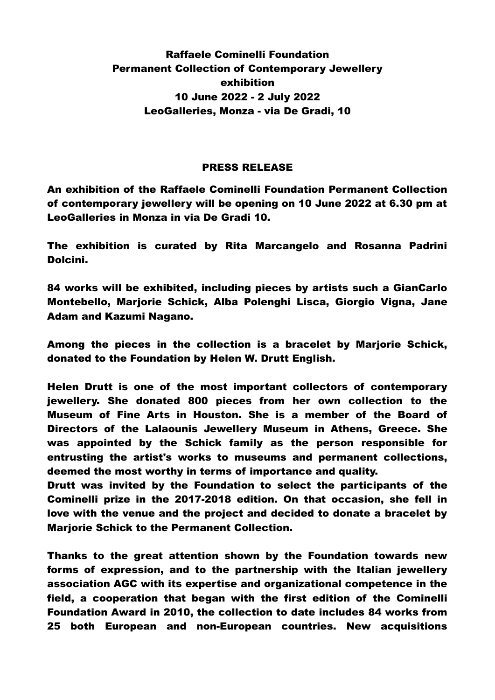## Raffaele Cominelli Foundation Permanent Collection of Contemporary Jewellery exhibition 10 June 2022 - 2 July 2022 LeoGalleries, Monza - via De Gradi, 10

## PRESS RELEASE

An exhibition of the Raffaele Cominelli Foundation Permanent Collection of contemporary jewellery will be opening on 10 June 2022 at 6.30 pm at LeoGalleries in Monza in via De Gradi 10.

The exhibition is curated by Rita Marcangelo and Rosanna Padrini Dolcini.

84 works will be exhibited, including pieces by artists such a GianCarlo Montebello, Marjorie Schick, Alba Polenghi Lisca, Giorgio Vigna, Jane Adam and Kazumi Nagano.

Among the pieces in the collection is a bracelet by Marjorie Schick, donated to the Foundation by Helen W. Drutt English.

Helen Drutt is one of the most important collectors of contemporary jewellery. She donated 800 pieces from her own collection to the Museum of Fine Arts in Houston. She is a member of the Board of Directors of the Lalaounis Jewellery Museum in Athens, Greece. She was appointed by the Schick family as the person responsible for entrusting the artist's works to museums and permanent collections, deemed the most worthy in terms of importance and quality.

Drutt was invited by the Foundation to select the participants of the Cominelli prize in the 2017-2018 edition. On that occasion, she fell in love with the venue and the project and decided to donate a bracelet by Marjorie Schick to the Permanent Collection.

Thanks to the great attention shown by the Foundation towards new forms of expression, and to the partnership with the Italian jewellery association AGC with its expertise and organizational competence in the field, a cooperation that began with the first edition of the Cominelli Foundation Award in 2010, the collection to date includes 84 works from 25 both European and non-European countries. New acquisitions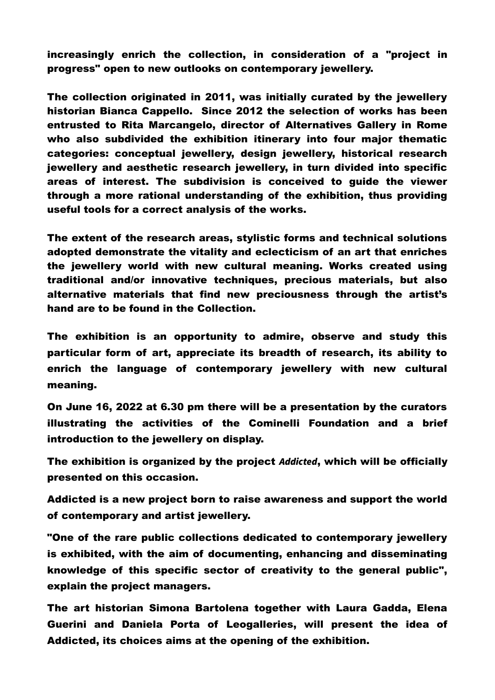increasingly enrich the collection, in consideration of a "project in progress" open to new outlooks on contemporary jewellery.

The collection originated in 2011, was initially curated by the jewellery historian Bianca Cappello. Since 2012 the selection of works has been entrusted to Rita Marcangelo, director of Alternatives Gallery in Rome who also subdivided the exhibition itinerary into four major thematic categories: conceptual jewellery, design jewellery, historical research jewellery and aesthetic research jewellery, in turn divided into specific areas of interest. The subdivision is conceived to guide the viewer through a more rational understanding of the exhibition, thus providing useful tools for a correct analysis of the works.

The extent of the research areas, stylistic forms and technical solutions adopted demonstrate the vitality and eclecticism of an art that enriches the jewellery world with new cultural meaning. Works created using traditional and/or innovative techniques, precious materials, but also alternative materials that find new preciousness through the artist's hand are to be found in the Collection.

The exhibition is an opportunity to admire, observe and study this particular form of art, appreciate its breadth of research, its ability to enrich the language of contemporary jewellery with new cultural meaning.

On June 16, 2022 at 6.30 pm there will be a presentation by the curators illustrating the activities of the Cominelli Foundation and a brief introduction to the jewellery on display.

The exhibition is organized by the project Addicted, which will be officially presented on this occasion.

Addicted is a new project born to raise awareness and support the world of contemporary and artist jewellery.

"One of the rare public collections dedicated to contemporary jewellery is exhibited, with the aim of documenting, enhancing and disseminating knowledge of this specific sector of creativity to the general public", explain the project managers.

The art historian Simona Bartolena together with Laura Gadda, Elena Guerini and Daniela Porta of Leogalleries, will present the idea of Addicted, its choices aims at the opening of the exhibition.